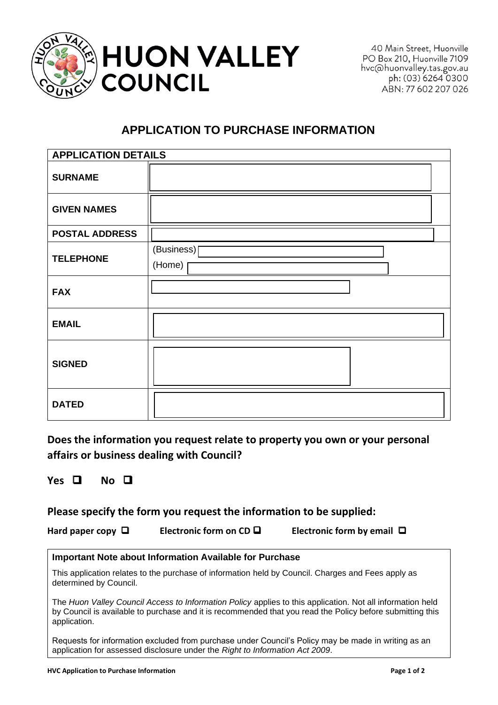

40 Main Street, Huonville PO Box 210, Huonville 7109 hvc@huonvalley.tas.gov.au ph: (03) 6264 0300 ABN: 77 602 207 026

## **APPLICATION TO PURCHASE INFORMATION**

| <b>APPLICATION DETAILS</b> |                      |  |
|----------------------------|----------------------|--|
| <b>SURNAME</b>             |                      |  |
| <b>GIVEN NAMES</b>         |                      |  |
| <b>POSTAL ADDRESS</b>      |                      |  |
| <b>TELEPHONE</b>           | (Business)<br>(Home) |  |
| <b>FAX</b>                 |                      |  |
| <b>EMAIL</b>               |                      |  |
| <b>SIGNED</b>              |                      |  |
| <b>DATED</b>               |                      |  |

**Does the information you request relate to property you own or your personal affairs or business dealing with Council?**

**Yes** ❑ **No** ❑

## **Please specify the form you request the information to be supplied:**

**Hard paper copy** ❑ **Electronic form on CD** ❑ **Electronic form by email** ❑

## **Important Note about Information Available for Purchase**

This application relates to the purchase of information held by Council. Charges and Fees apply as determined by Council.

The *Huon Valley Council Access to Information Policy* applies to this application. Not all information held by Council is available to purchase and it is recommended that you read the Policy before submitting this application.

Requests for information excluded from purchase under Council's Policy may be made in writing as an application for assessed disclosure under the *Right to Information Act 2009*.